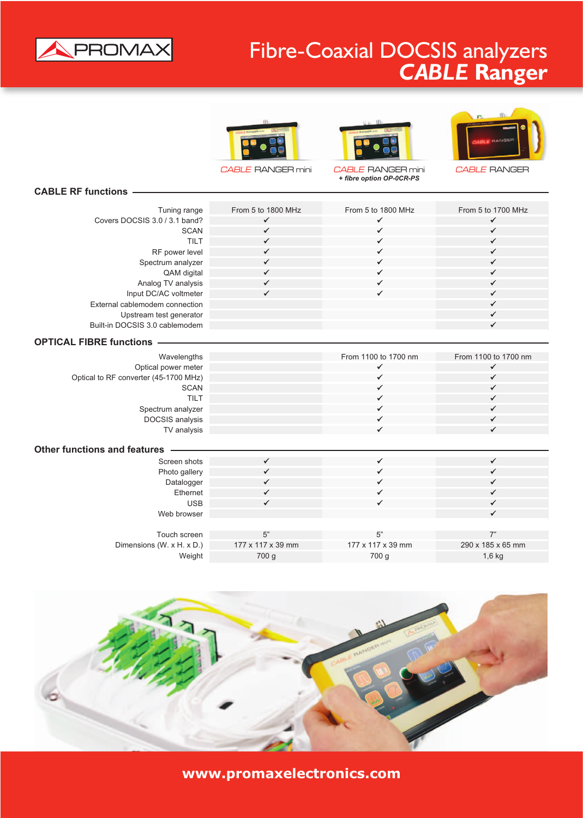

## Fibre-Coaxial DOCSIS analyzers *CABLE* **Ranger**









## **CABLE RF functions**

| Tuning range                          | From 5 to 1800 MHz | From 5 to 1800 MHz   | From 5 to 1700 MHz                   |
|---------------------------------------|--------------------|----------------------|--------------------------------------|
| Covers DOCSIS 3.0 / 3.1 band?         | $\checkmark$       | $\checkmark$         | $\checkmark$                         |
| <b>SCAN</b>                           | $\checkmark$       | ✓                    | $\checkmark$                         |
| <b>TILT</b>                           | $\checkmark$       | ✓                    | $\checkmark$                         |
| RF power level                        | $\checkmark$       | ✓                    | $\checkmark$                         |
| Spectrum analyzer                     | $\checkmark$       | ✓                    | $\checkmark$                         |
| QAM digital                           | $\checkmark$       | ✓                    | $\checkmark$                         |
| Analog TV analysis                    | $\checkmark$       | ✓                    | $\checkmark$                         |
| Input DC/AC voltmeter                 | $\checkmark$       | ✓                    | $\checkmark$                         |
| External cablemodem connection        |                    |                      | $\checkmark$                         |
| Upstream test generator               |                    |                      | $\checkmark$                         |
| Built-in DOCSIS 3.0 cablemodem        |                    |                      | $\checkmark$                         |
| <b>OPTICAL FIBRE functions</b>        |                    |                      |                                      |
|                                       |                    |                      |                                      |
| Wavelengths                           |                    | From 1100 to 1700 nm | From 1100 to 1700 nm<br>$\checkmark$ |
| Optical power meter                   |                    | ✔<br>✓               | $\checkmark$                         |
| Optical to RF converter (45-1700 MHz) |                    | ✓                    | $\checkmark$                         |
| <b>SCAN</b><br><b>TILT</b>            |                    | ✓                    | $\checkmark$                         |
|                                       |                    | ✓                    | $\checkmark$                         |
| Spectrum analyzer                     |                    | ✓                    | $\checkmark$                         |
| DOCSIS analysis                       |                    | ✓                    | $\checkmark$                         |
| TV analysis                           |                    |                      |                                      |
| <b>Other functions and features</b>   |                    |                      |                                      |
| Screen shots                          | $\checkmark$       | ✓                    | $\checkmark$                         |
| Photo gallery                         | $\checkmark$       | ✓                    | $\checkmark$                         |
| Datalogger                            | $\checkmark$       | ✓                    | $\checkmark$                         |
| Ethernet                              | $\checkmark$       | ✓                    | $\checkmark$                         |
| <b>USB</b>                            | $\checkmark$       | ✓                    | $\checkmark$                         |
| Web browser                           |                    |                      | ✓                                    |
|                                       |                    |                      |                                      |

| Touch screen              | г"                            |                               |                   |
|---------------------------|-------------------------------|-------------------------------|-------------------|
| Dimensions (W. x H. x D.) | $177 \times 117 \times 39$ mm | $177 \times 117 \times 39$ mm | 290 x 185 x 65 mm |
| Weight                    | 700 q                         | 700 g                         | $1,6$ kg          |



**www.promaxelectronics.com**